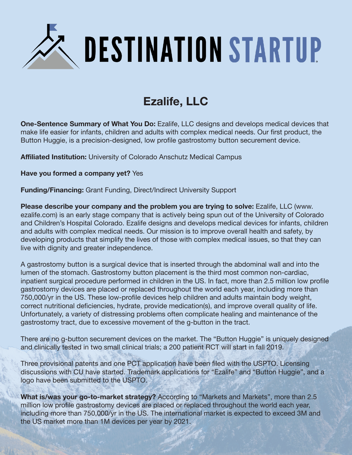

## **Ezalife, LLC**

**One-Sentence Summary of What You Do:** Ezalife, LLC designs and develops medical devices that make life easier for infants, children and adults with complex medical needs. Our first product, the Button Huggie, is a precision-designed, low profile gastrostomy button securement device.

**Affiliated Institution:** University of Colorado Anschutz Medical Campus

**Have you formed a company yet?** Yes

**Funding/Financing:** Grant Funding, Direct/Indirect University Support

**Please describe your company and the problem you are trying to solve:** Ezalife, LLC (www. ezalife.com) is an early stage company that is actively being spun out of the University of Colorado and Children's Hospital Colorado. Ezalife designs and develops medical devices for infants, children and adults with complex medical needs. Our mission is to improve overall health and safety, by developing products that simplify the lives of those with complex medical issues, so that they can live with dignity and greater independence.

A gastrostomy button is a surgical device that is inserted through the abdominal wall and into the lumen of the stomach. Gastrostomy button placement is the third most common non-cardiac, inpatient surgical procedure performed in children in the US. In fact, more than 2.5 million low profile gastrostomy devices are placed or replaced throughout the world each year, including more than 750,000/yr in the US. These low-profile devices help children and adults maintain body weight, correct nutritional deficiencies, hydrate, provide medication(s), and improve overall quality of life. Unfortunately, a variety of distressing problems often complicate healing and maintenance of the gastrostomy tract, due to excessive movement of the g-button in the tract.

There are no g-button securement devices on the market. The "Button Huggie" is uniquely designed and clinically tested in two small clinical trials; a 200 patient RCT will start in fall 2019.

Three provisional patents and one PCT application have been filed with the USPTO. Licensing discussions with CU have started. Trademark applications for "Ezalife" and "Button Huggie", and a logo have been submitted to the USPTO.

**What is/was your go-to-market strategy?** According to "Markets and Markets", more than 2.5 million low profile gastrostomy devices are placed or replaced throughout the world each year, including more than 750,000/yr in the US. The international market is expected to exceed 3M and the US market more than 1M devices per year by 2021.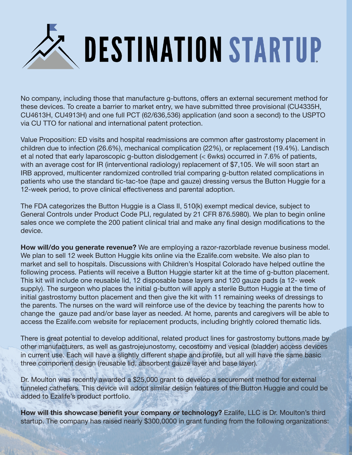

No company, including those that manufacture g-buttons, offers an external securement method for these devices. To create a barrier to market entry, we have submitted three provisional (CU4335H, CU4613H, CU4913H) and one full PCT (62/636,536) application (and soon a second) to the USPTO via CU TTO for national and international patent protection.

Value Proposition: ED visits and hospital readmissions are common after gastrostomy placement in children due to infection (26.6%), mechanical complication (22%), or replacement (19.4%). Landisch et al noted that early laparoscopic g-button dislodgement (< 6wks) occurred in 7.6% of patients, with an average cost for IR (interventional radiology) replacement of \$7,105. We will soon start an IRB approved, multicenter randomized controlled trial comparing g-button related complications in patients who use the standard tic-tac-toe (tape and gauze) dressing versus the Button Huggie for a 12-week period, to prove clinical effectiveness and parental adoption.

The FDA categorizes the Button Huggie is a Class II, 510(k) exempt medical device, subject to General Controls under Product Code PLI, regulated by 21 CFR 876.5980). We plan to begin online sales once we complete the 200 patient clinical trial and make any final design modifications to the device.

**How will/do you generate revenue?** We are employing a razor-razorblade revenue business model. We plan to sell 12 week Button Huggie kits online via the Ezalife.com website. We also plan to market and sell to hospitals. Discussions with Children's Hospital Colorado have helped outline the following process. Patients will receive a Button Huggie starter kit at the time of g-button placement. This kit will include one reusable lid, 12 disposable base layers and 120 gauze pads (a 12- week supply). The surgeon who places the initial g-button will apply a sterile Button Huggie at the time of initial gastrostomy button placement and then give the kit with 11 remaining weeks of dressings to the parents. The nurses on the ward will reinforce use of the device by teaching the parents how to change the gauze pad and/or base layer as needed. At home, parents and caregivers will be able to access the Ezalife.com website for replacement products, including brightly colored thematic lids.

There is great potential to develop additional, related product lines for gastrostomy buttons made by other manufacturers, as well as gastrojejunostomy, cecostomy and vesical (bladder) access devices in current use. Each will have a slightly different shape and profile, but all will have the same basic three component design (reusable lid, absorbent gauze layer and base layer).

Dr. Moulton was recently awarded a \$25,000 grant to develop a securement method for external tunneled catheters. This device will adopt similar design features of the Button Huggie and could be added to Ezalife's product portfolio.

**How will this showcase benefit your company or technology?** Ezalife, LLC is Dr. Moulton's third startup. The company has raised nearly \$300,0000 in grant funding from the following organizations: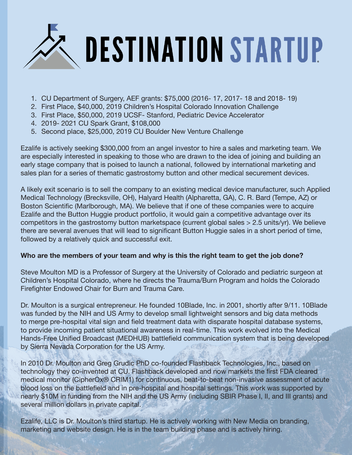

- 1. CU Department of Surgery, AEF grants: \$75,000 (2016- 17, 2017- 18 and 2018- 19)
- 2. First Place, \$40,000, 2019 Children's Hospital Colorado Innovation Challenge
- 3. First Place, \$50,000, 2019 UCSF- Stanford, Pediatric Device Accelerator
- 4. 2019- 2021 CU Spark Grant, \$108,000
- 5. Second place, \$25,000, 2019 CU Boulder New Venture Challenge

Ezalife is actively seeking \$300,000 from an angel investor to hire a sales and marketing team. We are especially interested in speaking to those who are drawn to the idea of joining and building an early stage company that is poised to launch a national, followed by international marketing and sales plan for a series of thematic gastrostomy button and other medical securement devices.

A likely exit scenario is to sell the company to an existing medical device manufacturer, such Applied Medical Technology (Brecksville, OH), Halyard Health (Alpharetta, GA), C. R. Bard (Tempe, AZ) or Boston Scientific (Marlborough, MA). We believe that if one of these companies were to acquire Ezalife and the Button Huggie product portfolio, it would gain a competitive advantage over its competitors in the gastrostomy button marketspace (current global sales > 2.5 units/yr). We believe there are several avenues that will lead to significant Button Huggie sales in a short period of time, followed by a relatively quick and successful exit.

## **Who are the members of your team and why is this the right team to get the job done?**

Steve Moulton MD is a Professor of Surgery at the University of Colorado and pediatric surgeon at Children's Hospital Colorado, where he directs the Trauma/Burn Program and holds the Colorado Firefighter Endowed Chair for Burn and Trauma Care.

Dr. Moulton is a surgical entrepreneur. He founded 10Blade, Inc. in 2001, shortly after 9/11. 10Blade was funded by the NIH and US Army to develop small lightweight sensors and big data methods to merge pre-hospital vital sign and field treatment data with disparate hospital database systems, to provide incoming patient situational awareness in real-time. This work evolved into the Medical Hands-Free Unified Broadcast (MEDHUB) battlefield communication system that is being developed by Sierra Nevada Corporation for the US Army.

In 2010 Dr. Moulton and Greg Grudic PhD co-founded Flashback Technologies, Inc., based on technology they co-invented at CU. Flashback developed and now markets the first FDA cleared medical monitor (CipherOx® CRIM1) for continuous, beat-to-beat non-invasive assessment of acute blood loss on the battlefield and in pre-hospital and hospital settings. This work was supported by nearly \$10M in funding from the NIH and the US Army (including SBIR Phase I, II, and III grants) and several million dollars in private capital.

Ezalife, LLC is Dr. Moulton's third startup. He is actively working with New Media on branding, marketing and website design. He is in the team building phase and is actively hiring.